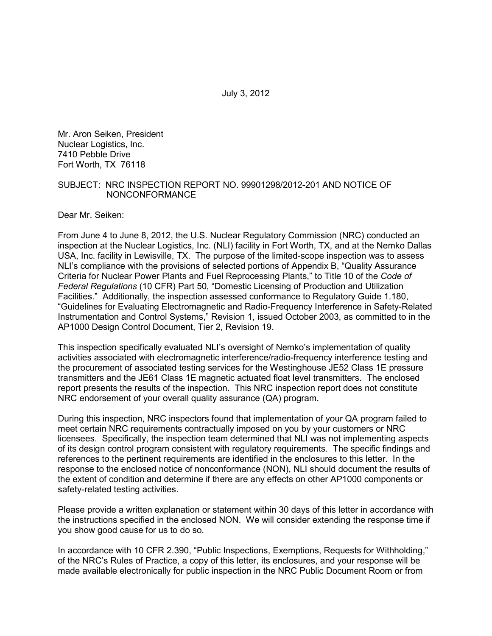Mr. Aron Seiken, President Nuclear Logistics, Inc. 7410 Pebble Drive Fort Worth, TX 76118

#### SUBJECT: NRC INSPECTION REPORT NO. 99901298/2012-201 AND NOTICE OF NONCONFORMANCE

Dear Mr. Seiken:

From June 4 to June 8, 2012, the U.S. Nuclear Regulatory Commission (NRC) conducted an inspection at the Nuclear Logistics, Inc. (NLI) facility in Fort Worth, TX, and at the Nemko Dallas USA, Inc. facility in Lewisville, TX. The purpose of the limited-scope inspection was to assess NLI's compliance with the provisions of selected portions of Appendix B, "Quality Assurance Criteria for Nuclear Power Plants and Fuel Reprocessing Plants," to Title 10 of the *Code of Federal Regulations* (10 CFR) Part 50, "Domestic Licensing of Production and Utilization Facilities." Additionally, the inspection assessed conformance to Regulatory Guide 1.180, "Guidelines for Evaluating Electromagnetic and Radio-Frequency Interference in Safety-Related Instrumentation and Control Systems," Revision 1, issued October 2003, as committed to in the AP1000 Design Control Document, Tier 2, Revision 19.

This inspection specifically evaluated NLI's oversight of Nemko's implementation of quality activities associated with electromagnetic interference/radio-frequency interference testing and the procurement of associated testing services for the Westinghouse JE52 Class 1E pressure transmitters and the JE61 Class 1E magnetic actuated float level transmitters. The enclosed report presents the results of the inspection. This NRC inspection report does not constitute NRC endorsement of your overall quality assurance (QA) program.

During this inspection, NRC inspectors found that implementation of your QA program failed to meet certain NRC requirements contractually imposed on you by your customers or NRC licensees. Specifically, the inspection team determined that NLI was not implementing aspects of its design control program consistent with regulatory requirements. The specific findings and references to the pertinent requirements are identified in the enclosures to this letter. In the response to the enclosed notice of nonconformance (NON), NLI should document the results of the extent of condition and determine if there are any effects on other AP1000 components or safety-related testing activities.

Please provide a written explanation or statement within 30 days of this letter in accordance with the instructions specified in the enclosed NON. We will consider extending the response time if you show good cause for us to do so.

In accordance with 10 CFR 2.390, "Public Inspections, Exemptions, Requests for Withholding," of the NRC's Rules of Practice, a copy of this letter, its enclosures, and your response will be made available electronically for public inspection in the NRC Public Document Room or from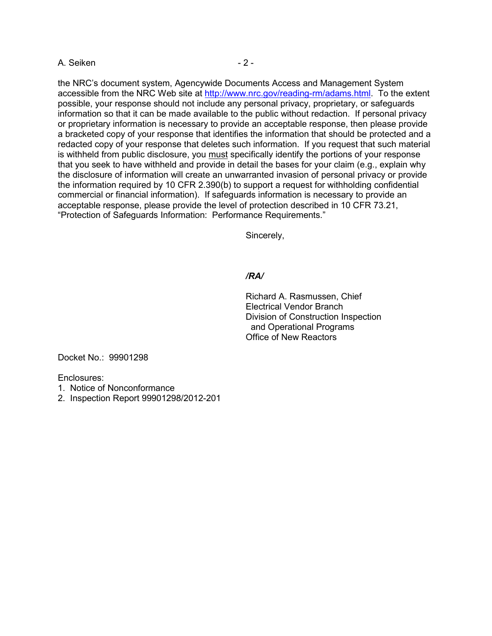## A. Seiken  $-2 -$

the NRC's document system, Agencywide Documents Access and Management System accessible from the NRC Web site at http://www.nrc.gov/reading-rm/adams.html. To the extent possible, your response should not include any personal privacy, proprietary, or safeguards information so that it can be made available to the public without redaction. If personal privacy or proprietary information is necessary to provide an acceptable response, then please provide a bracketed copy of your response that identifies the information that should be protected and a redacted copy of your response that deletes such information. If you request that such material is withheld from public disclosure, you must specifically identify the portions of your response that you seek to have withheld and provide in detail the bases for your claim (e.g., explain why the disclosure of information will create an unwarranted invasion of personal privacy or provide the information required by 10 CFR 2.390(b) to support a request for withholding confidential commercial or financial information). If safeguards information is necessary to provide an acceptable response, please provide the level of protection described in 10 CFR 73.21, "Protection of Safeguards Information: Performance Requirements."

Sincerely,

## */RA/*

Richard A. Rasmussen, Chief Electrical Vendor Branch Division of Construction Inspection and Operational Programs Office of New Reactors

Docket No.: 99901298

Enclosures:

- 1. Notice of Nonconformance
- 2. Inspection Report 99901298/2012-201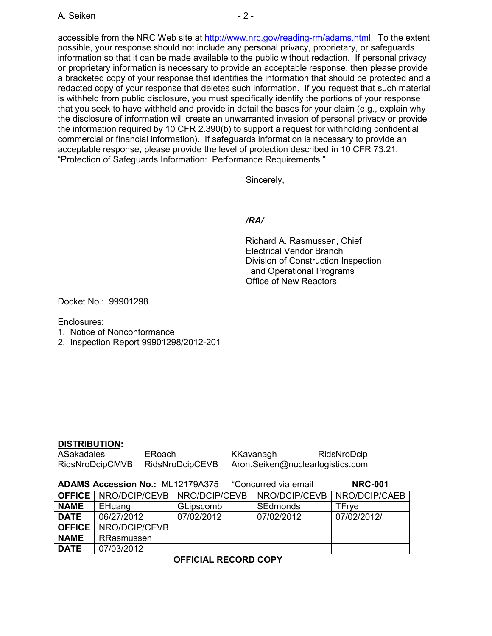accessible from the NRC Web site at http://www.nrc.gov/reading-rm/adams.html. To the extent possible, your response should not include any personal privacy, proprietary, or safeguards information so that it can be made available to the public without redaction. If personal privacy or proprietary information is necessary to provide an acceptable response, then please provide a bracketed copy of your response that identifies the information that should be protected and a redacted copy of your response that deletes such information. If you request that such material is withheld from public disclosure, you must specifically identify the portions of your response that you seek to have withheld and provide in detail the bases for your claim (e.g., explain why the disclosure of information will create an unwarranted invasion of personal privacy or provide the information required by 10 CFR 2.390(b) to support a request for withholding confidential commercial or financial information). If safeguards information is necessary to provide an acceptable response, please provide the level of protection described in 10 CFR 73.21, "Protection of Safeguards Information: Performance Requirements."

Sincerely,

## */RA/*

Richard A. Rasmussen, Chief Electrical Vendor Branch Division of Construction Inspection and Operational Programs Office of New Reactors

Docket No.: 99901298

Enclosures:

- 1. Notice of Nonconformance
- 2. Inspection Report 99901298/2012-201

## **DISTRIBUTION:**

| ASakadales      | <b>ERoach</b>   | KKavanagh | RidsNroDcip                      |
|-----------------|-----------------|-----------|----------------------------------|
| RidsNroDcipCMVB | RidsNroDcipCEVB |           | Aron.Seiken@nuclearlogistics.com |

|               | <b>ADAMS Accession No.: ML12179A375</b>       |            | *Concurred via email | <b>NRC-001</b> |
|---------------|-----------------------------------------------|------------|----------------------|----------------|
|               | <b>OFFICE</b>   NRO/DCIP/CEVB   NRO/DCIP/CEVB |            | NRO/DCIP/CEVB        | NRO/DCIP/CAEB  |
| <b>NAME</b>   | EHuang                                        | GLipscomb  | <b>SEdmonds</b>      | TFrve          |
| <b>DATE</b>   | 06/27/2012                                    | 07/02/2012 | 07/02/2012           | 07/02/2012/    |
| <b>OFFICE</b> | NRO/DCIP/CEVB                                 |            |                      |                |
| <b>NAME</b>   | RRasmussen                                    |            |                      |                |
| <b>DATE</b>   | 07/03/2012                                    |            |                      |                |

**OFFICIAL RECORD COPY**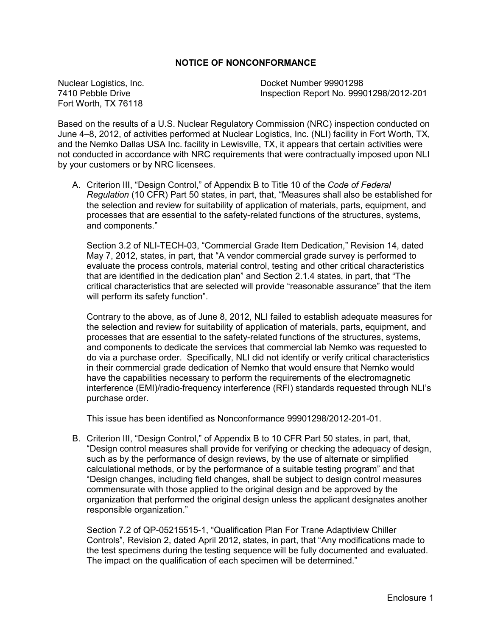## **NOTICE OF NONCONFORMANCE**

Fort Worth, TX 76118

Nuclear Logistics, Inc. Docket Number 99901298 Inspection Report No. 99901298/2012-201

Based on the results of a U.S. Nuclear Regulatory Commission (NRC) inspection conducted on June 4–8, 2012, of activities performed at Nuclear Logistics, Inc. (NLI) facility in Fort Worth, TX, and the Nemko Dallas USA Inc. facility in Lewisville, TX, it appears that certain activities were not conducted in accordance with NRC requirements that were contractually imposed upon NLI by your customers or by NRC licensees.

A. Criterion III, "Design Control," of Appendix B to Title 10 of the *Code of Federal Regulation* (10 CFR) Part 50 states, in part, that, "Measures shall also be established for the selection and review for suitability of application of materials, parts, equipment, and processes that are essential to the safety-related functions of the structures, systems, and components."

Section 3.2 of NLI-TECH-03, "Commercial Grade Item Dedication," Revision 14, dated May 7, 2012, states, in part, that "A vendor commercial grade survey is performed to evaluate the process controls, material control, testing and other critical characteristics that are identified in the dedication plan" and Section 2.1.4 states, in part, that "The critical characteristics that are selected will provide "reasonable assurance" that the item will perform its safety function".

Contrary to the above, as of June 8, 2012, NLI failed to establish adequate measures for the selection and review for suitability of application of materials, parts, equipment, and processes that are essential to the safety-related functions of the structures, systems, and components to dedicate the services that commercial lab Nemko was requested to do via a purchase order. Specifically, NLI did not identify or verify critical characteristics in their commercial grade dedication of Nemko that would ensure that Nemko would have the capabilities necessary to perform the requirements of the electromagnetic interference (EMI)/radio-frequency interference (RFI) standards requested through NLI's purchase order.

This issue has been identified as Nonconformance 99901298/2012-201-01.

B. Criterion III, "Design Control," of Appendix B to 10 CFR Part 50 states, in part, that, "Design control measures shall provide for verifying or checking the adequacy of design, such as by the performance of design reviews, by the use of alternate or simplified calculational methods, or by the performance of a suitable testing program" and that "Design changes, including field changes, shall be subject to design control measures commensurate with those applied to the original design and be approved by the organization that performed the original design unless the applicant designates another responsible organization."

Section 7.2 of QP-05215515-1, "Qualification Plan For Trane Adaptiview Chiller Controls", Revision 2, dated April 2012, states, in part, that "Any modifications made to the test specimens during the testing sequence will be fully documented and evaluated. The impact on the qualification of each specimen will be determined."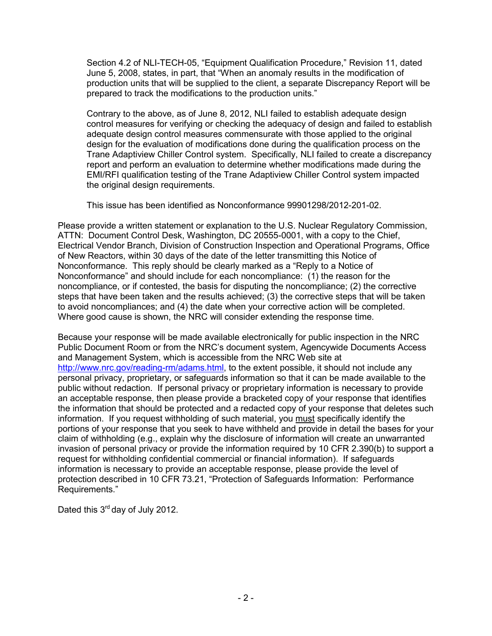Section 4.2 of NLI-TECH-05, "Equipment Qualification Procedure," Revision 11, dated June 5, 2008, states, in part, that "When an anomaly results in the modification of production units that will be supplied to the client, a separate Discrepancy Report will be prepared to track the modifications to the production units."

Contrary to the above, as of June 8, 2012, NLI failed to establish adequate design control measures for verifying or checking the adequacy of design and failed to establish adequate design control measures commensurate with those applied to the original design for the evaluation of modifications done during the qualification process on the Trane Adaptiview Chiller Control system. Specifically, NLI failed to create a discrepancy report and perform an evaluation to determine whether modifications made during the EMI/RFI qualification testing of the Trane Adaptiview Chiller Control system impacted the original design requirements.

This issue has been identified as Nonconformance 99901298/2012-201-02.

Please provide a written statement or explanation to the U.S. Nuclear Regulatory Commission, ATTN: Document Control Desk, Washington, DC 20555-0001, with a copy to the Chief, Electrical Vendor Branch, Division of Construction Inspection and Operational Programs, Office of New Reactors, within 30 days of the date of the letter transmitting this Notice of Nonconformance. This reply should be clearly marked as a "Reply to a Notice of Nonconformance" and should include for each noncompliance: (1) the reason for the noncompliance, or if contested, the basis for disputing the noncompliance; (2) the corrective steps that have been taken and the results achieved; (3) the corrective steps that will be taken to avoid noncompliances; and (4) the date when your corrective action will be completed. Where good cause is shown, the NRC will consider extending the response time.

Because your response will be made available electronically for public inspection in the NRC Public Document Room or from the NRC's document system, Agencywide Documents Access and Management System, which is accessible from the NRC Web site at http://www.nrc.gov/reading-rm/adams.html, to the extent possible, it should not include any personal privacy, proprietary, or safeguards information so that it can be made available to the public without redaction. If personal privacy or proprietary information is necessary to provide an acceptable response, then please provide a bracketed copy of your response that identifies the information that should be protected and a redacted copy of your response that deletes such information. If you request withholding of such material, you must specifically identify the portions of your response that you seek to have withheld and provide in detail the bases for your claim of withholding (e.g., explain why the disclosure of information will create an unwarranted invasion of personal privacy or provide the information required by 10 CFR 2.390(b) to support a request for withholding confidential commercial or financial information). If safeguards information is necessary to provide an acceptable response, please provide the level of protection described in 10 CFR 73.21, "Protection of Safeguards Information: Performance Requirements."

Dated this 3<sup>rd</sup> day of July 2012.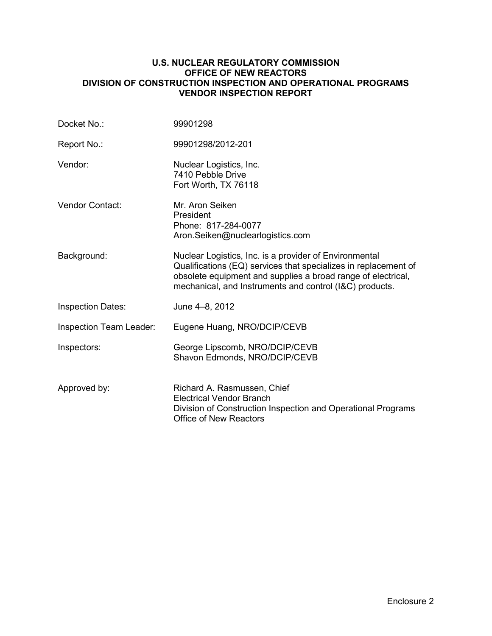## **U.S. NUCLEAR REGULATORY COMMISSION OFFICE OF NEW REACTORS DIVISION OF CONSTRUCTION INSPECTION AND OPERATIONAL PROGRAMS VENDOR INSPECTION REPORT**

| Docket No.:              | 99901298                                                                                                                                                                                                                                             |
|--------------------------|------------------------------------------------------------------------------------------------------------------------------------------------------------------------------------------------------------------------------------------------------|
| Report No.:              | 99901298/2012-201                                                                                                                                                                                                                                    |
| Vendor:                  | Nuclear Logistics, Inc.<br>7410 Pebble Drive<br>Fort Worth, TX 76118                                                                                                                                                                                 |
| Vendor Contact:          | Mr. Aron Seiken<br>President<br>Phone: 817-284-0077<br>Aron.Seiken@nuclearlogistics.com                                                                                                                                                              |
| Background:              | Nuclear Logistics, Inc. is a provider of Environmental<br>Qualifications (EQ) services that specializes in replacement of<br>obsolete equipment and supplies a broad range of electrical,<br>mechanical, and Instruments and control (I&C) products. |
| <b>Inspection Dates:</b> | June 4-8, 2012                                                                                                                                                                                                                                       |
| Inspection Team Leader:  | Eugene Huang, NRO/DCIP/CEVB                                                                                                                                                                                                                          |
| Inspectors:              | George Lipscomb, NRO/DCIP/CEVB<br>Shavon Edmonds, NRO/DCIP/CEVB                                                                                                                                                                                      |
| Approved by:             | Richard A. Rasmussen, Chief<br><b>Electrical Vendor Branch</b><br>Division of Construction Inspection and Operational Programs<br><b>Office of New Reactors</b>                                                                                      |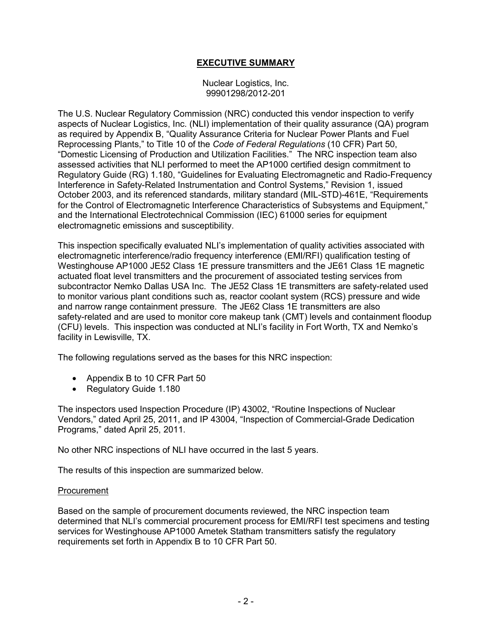# **EXECUTIVE SUMMARY**

Nuclear Logistics, Inc. 99901298/2012-201

The U.S. Nuclear Regulatory Commission (NRC) conducted this vendor inspection to verify aspects of Nuclear Logistics, Inc. (NLI) implementation of their quality assurance (QA) program as required by Appendix B, "Quality Assurance Criteria for Nuclear Power Plants and Fuel Reprocessing Plants," to Title 10 of the *Code of Federal Regulations* (10 CFR) Part 50, "Domestic Licensing of Production and Utilization Facilities." The NRC inspection team also assessed activities that NLI performed to meet the AP1000 certified design commitment to Regulatory Guide (RG) 1.180, "Guidelines for Evaluating Electromagnetic and Radio-Frequency Interference in Safety-Related Instrumentation and Control Systems," Revision 1, issued October 2003, and its referenced standards, military standard (MIL-STD)-461E, "Requirements for the Control of Electromagnetic Interference Characteristics of Subsystems and Equipment," and the International Electrotechnical Commission (IEC) 61000 series for equipment electromagnetic emissions and susceptibility.

This inspection specifically evaluated NLI's implementation of quality activities associated with electromagnetic interference/radio frequency interference (EMI/RFI) qualification testing of Westinghouse AP1000 JE52 Class 1E pressure transmitters and the JE61 Class 1E magnetic actuated float level transmitters and the procurement of associated testing services from subcontractor Nemko Dallas USA Inc. The JE52 Class 1E transmitters are safety-related used to monitor various plant conditions such as, reactor coolant system (RCS) pressure and wide and narrow range containment pressure. The JE62 Class 1E transmitters are also safety-related and are used to monitor core makeup tank (CMT) levels and containment floodup (CFU) levels. This inspection was conducted at NLI's facility in Fort Worth, TX and Nemko's facility in Lewisville, TX.

The following regulations served as the bases for this NRC inspection:

- Appendix B to 10 CFR Part 50
- Regulatory Guide 1.180

The inspectors used Inspection Procedure (IP) 43002, "Routine Inspections of Nuclear Vendors," dated April 25, 2011, and IP 43004, "Inspection of Commercial-Grade Dedication Programs," dated April 25, 2011.

No other NRC inspections of NLI have occurred in the last 5 years.

The results of this inspection are summarized below.

#### Procurement

Based on the sample of procurement documents reviewed, the NRC inspection team determined that NLI's commercial procurement process for EMI/RFI test specimens and testing services for Westinghouse AP1000 Ametek Statham transmitters satisfy the regulatory requirements set forth in Appendix B to 10 CFR Part 50.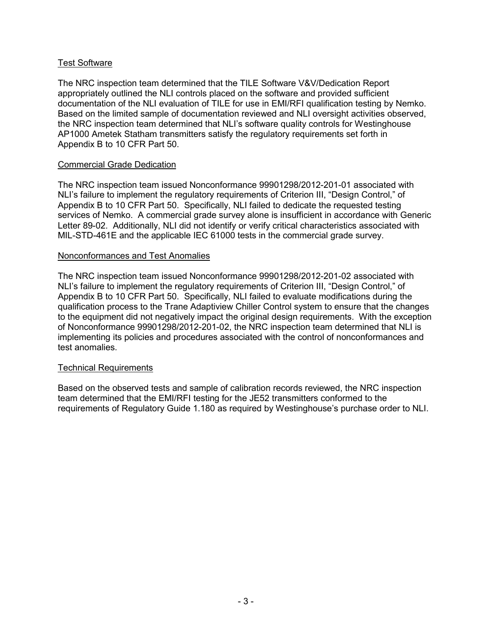## Test Software

The NRC inspection team determined that the TILE Software V&V/Dedication Report appropriately outlined the NLI controls placed on the software and provided sufficient documentation of the NLI evaluation of TILE for use in EMI/RFI qualification testing by Nemko. Based on the limited sample of documentation reviewed and NLI oversight activities observed, the NRC inspection team determined that NLI's software quality controls for Westinghouse AP1000 Ametek Statham transmitters satisfy the regulatory requirements set forth in Appendix B to 10 CFR Part 50.

## Commercial Grade Dedication

The NRC inspection team issued Nonconformance 99901298/2012-201-01 associated with NLI's failure to implement the regulatory requirements of Criterion III, "Design Control," of Appendix B to 10 CFR Part 50. Specifically, NLI failed to dedicate the requested testing services of Nemko. A commercial grade survey alone is insufficient in accordance with Generic Letter 89-02. Additionally, NLI did not identify or verify critical characteristics associated with MIL-STD-461E and the applicable IEC 61000 tests in the commercial grade survey.

## Nonconformances and Test Anomalies

The NRC inspection team issued Nonconformance 99901298/2012-201-02 associated with NLI's failure to implement the regulatory requirements of Criterion III, "Design Control," of Appendix B to 10 CFR Part 50. Specifically, NLI failed to evaluate modifications during the qualification process to the Trane Adaptiview Chiller Control system to ensure that the changes to the equipment did not negatively impact the original design requirements. With the exception of Nonconformance 99901298/2012-201-02, the NRC inspection team determined that NLI is implementing its policies and procedures associated with the control of nonconformances and test anomalies.

## Technical Requirements

Based on the observed tests and sample of calibration records reviewed, the NRC inspection team determined that the EMI/RFI testing for the JE52 transmitters conformed to the requirements of Regulatory Guide 1.180 as required by Westinghouse's purchase order to NLI.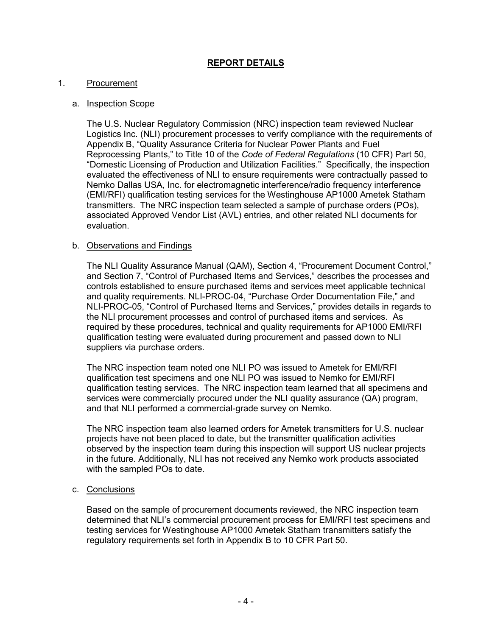# **REPORT DETAILS**

## 1. Procurement

## a. Inspection Scope

The U.S. Nuclear Regulatory Commission (NRC) inspection team reviewed Nuclear Logistics Inc. (NLI) procurement processes to verify compliance with the requirements of Appendix B, "Quality Assurance Criteria for Nuclear Power Plants and Fuel Reprocessing Plants," to Title 10 of the *Code of Federal Regulations* (10 CFR) Part 50, "Domestic Licensing of Production and Utilization Facilities." Specifically, the inspection evaluated the effectiveness of NLI to ensure requirements were contractually passed to Nemko Dallas USA, Inc. for electromagnetic interference/radio frequency interference (EMI/RFI) qualification testing services for the Westinghouse AP1000 Ametek Statham transmitters. The NRC inspection team selected a sample of purchase orders (POs), associated Approved Vendor List (AVL) entries, and other related NLI documents for evaluation.

## b. Observations and Findings

The NLI Quality Assurance Manual (QAM), Section 4, "Procurement Document Control," and Section 7, "Control of Purchased Items and Services," describes the processes and controls established to ensure purchased items and services meet applicable technical and quality requirements. NLI-PROC-04, "Purchase Order Documentation File," and NLI-PROC-05, "Control of Purchased Items and Services," provides details in regards to the NLI procurement processes and control of purchased items and services. As required by these procedures, technical and quality requirements for AP1000 EMI/RFI qualification testing were evaluated during procurement and passed down to NLI suppliers via purchase orders.

The NRC inspection team noted one NLI PO was issued to Ametek for EMI/RFI qualification test specimens and one NLI PO was issued to Nemko for EMI/RFI qualification testing services. The NRC inspection team learned that all specimens and services were commercially procured under the NLI quality assurance (QA) program, and that NLI performed a commercial-grade survey on Nemko.

The NRC inspection team also learned orders for Ametek transmitters for U.S. nuclear projects have not been placed to date, but the transmitter qualification activities observed by the inspection team during this inspection will support US nuclear projects in the future. Additionally, NLI has not received any Nemko work products associated with the sampled POs to date.

## c. Conclusions

Based on the sample of procurement documents reviewed, the NRC inspection team determined that NLI's commercial procurement process for EMI/RFI test specimens and testing services for Westinghouse AP1000 Ametek Statham transmitters satisfy the regulatory requirements set forth in Appendix B to 10 CFR Part 50.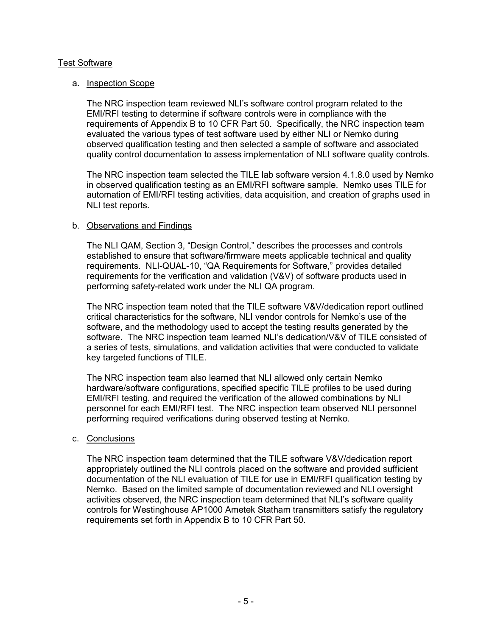## Test Software

## a. Inspection Scope

The NRC inspection team reviewed NLI's software control program related to the EMI/RFI testing to determine if software controls were in compliance with the requirements of Appendix B to 10 CFR Part 50. Specifically, the NRC inspection team evaluated the various types of test software used by either NLI or Nemko during observed qualification testing and then selected a sample of software and associated quality control documentation to assess implementation of NLI software quality controls.

The NRC inspection team selected the TILE lab software version 4.1.8.0 used by Nemko in observed qualification testing as an EMI/RFI software sample. Nemko uses TILE for automation of EMI/RFI testing activities, data acquisition, and creation of graphs used in NLI test reports.

## b. Observations and Findings

The NLI QAM, Section 3, "Design Control," describes the processes and controls established to ensure that software/firmware meets applicable technical and quality requirements. NLI-QUAL-10, "QA Requirements for Software," provides detailed requirements for the verification and validation (V&V) of software products used in performing safety-related work under the NLI QA program.

The NRC inspection team noted that the TILE software V&V/dedication report outlined critical characteristics for the software, NLI vendor controls for Nemko's use of the software, and the methodology used to accept the testing results generated by the software. The NRC inspection team learned NLI's dedication/V&V of TILE consisted of a series of tests, simulations, and validation activities that were conducted to validate key targeted functions of TILE.

The NRC inspection team also learned that NLI allowed only certain Nemko hardware/software configurations, specified specific TILE profiles to be used during EMI/RFI testing, and required the verification of the allowed combinations by NLI personnel for each EMI/RFI test. The NRC inspection team observed NLI personnel performing required verifications during observed testing at Nemko.

#### c. Conclusions

The NRC inspection team determined that the TILE software V&V/dedication report appropriately outlined the NLI controls placed on the software and provided sufficient documentation of the NLI evaluation of TILE for use in EMI/RFI qualification testing by Nemko. Based on the limited sample of documentation reviewed and NLI oversight activities observed, the NRC inspection team determined that NLI's software quality controls for Westinghouse AP1000 Ametek Statham transmitters satisfy the regulatory requirements set forth in Appendix B to 10 CFR Part 50.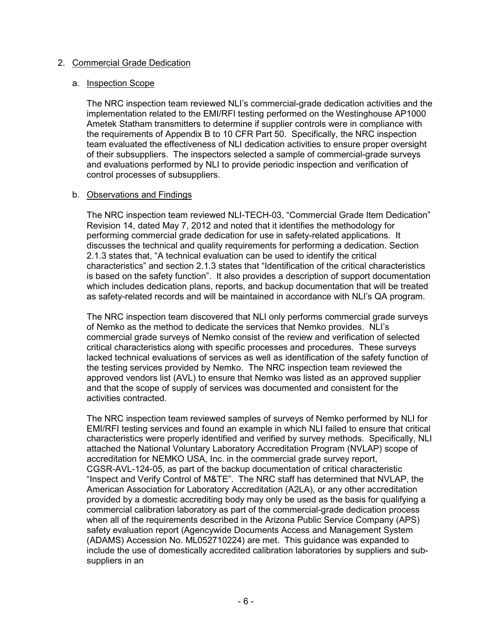## 2. Commercial Grade Dedication

#### a. Inspection Scope

The NRC inspection team reviewed NLI's commercial-grade dedication activities and the implementation related to the EMI/RFI testing performed on the Westinghouse AP1000 Ametek Statham transmitters to determine if supplier controls were in compliance with the requirements of Appendix B to 10 CFR Part 50. Specifically, the NRC inspection team evaluated the effectiveness of NLI dedication activities to ensure proper oversight of their subsuppliers. The inspectors selected a sample of commercial-grade surveys and evaluations performed by NLI to provide periodic inspection and verification of control processes of subsuppliers.

## b. Observations and Findings

The NRC inspection team reviewed NLI-TECH-03, "Commercial Grade Item Dedication" Revision 14, dated May 7, 2012 and noted that it identifies the methodology for performing commercial grade dedication for use in safety-related applications. It discusses the technical and quality requirements for performing a dedication. Section 2.1.3 states that, "A technical evaluation can be used to identify the critical characteristics" and section 2.1.3 states that "Identification of the critical characteristics is based on the safety function". It also provides a description of support documentation which includes dedication plans, reports, and backup documentation that will be treated as safety-related records and will be maintained in accordance with NLI's QA program.

The NRC inspection team discovered that NLI only performs commercial grade surveys of Nemko as the method to dedicate the services that Nemko provides. NLI's commercial grade surveys of Nemko consist of the review and verification of selected critical characteristics along with specific processes and procedures. These surveys lacked technical evaluations of services as well as identification of the safety function of the testing services provided by Nemko. The NRC inspection team reviewed the approved vendors list (AVL) to ensure that Nemko was listed as an approved supplier and that the scope of supply of services was documented and consistent for the activities contracted.

The NRC inspection team reviewed samples of surveys of Nemko performed by NLI for EMI/RFI testing services and found an example in which NLI failed to ensure that critical characteristics were properly identified and verified by survey methods. Specifically, NLI attached the National Voluntary Laboratory Accreditation Program (NVLAP) scope of accreditation for NEMKO USA, Inc. in the commercial grade survey report, CGSR-AVL-124-05, as part of the backup documentation of critical characteristic "Inspect and Verify Control of M&TE". The NRC staff has determined that NVLAP, the American Association for Laboratory Accreditation (A2LA), or any other accreditation provided by a domestic accrediting body may only be used as the basis for qualifying a commercial calibration laboratory as part of the commercial-grade dedication process when all of the requirements described in the Arizona Public Service Company (APS) safety evaluation report (Agencywide Documents Access and Management System (ADAMS) Accession No. ML052710224) are met. This guidance was expanded to include the use of domestically accredited calibration laboratories by suppliers and subsuppliers in an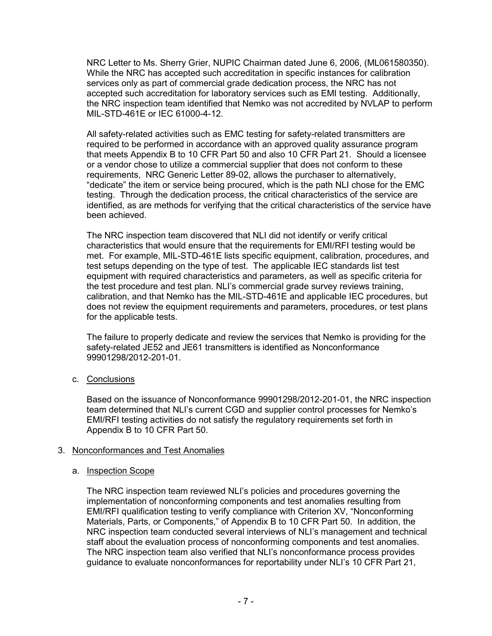NRC Letter to Ms. Sherry Grier, NUPIC Chairman dated June 6, 2006, (ML061580350). While the NRC has accepted such accreditation in specific instances for calibration services only as part of commercial grade dedication process, the NRC has not accepted such accreditation for laboratory services such as EMI testing. Additionally, the NRC inspection team identified that Nemko was not accredited by NVLAP to perform MIL-STD-461E or IEC 61000-4-12.

All safety-related activities such as EMC testing for safety-related transmitters are required to be performed in accordance with an approved quality assurance program that meets Appendix B to 10 CFR Part 50 and also 10 CFR Part 21. Should a licensee or a vendor chose to utilize a commercial supplier that does not conform to these requirements, NRC Generic Letter 89-02, allows the purchaser to alternatively, "dedicate" the item or service being procured, which is the path NLI chose for the EMC testing. Through the dedication process, the critical characteristics of the service are identified, as are methods for verifying that the critical characteristics of the service have been achieved.

The NRC inspection team discovered that NLI did not identify or verify critical characteristics that would ensure that the requirements for EMI/RFI testing would be met. For example, MIL-STD-461E lists specific equipment, calibration, procedures, and test setups depending on the type of test. The applicable IEC standards list test equipment with required characteristics and parameters, as well as specific criteria for the test procedure and test plan. NLI's commercial grade survey reviews training, calibration, and that Nemko has the MIL-STD-461E and applicable IEC procedures, but does not review the equipment requirements and parameters, procedures, or test plans for the applicable tests.

The failure to properly dedicate and review the services that Nemko is providing for the safety-related JE52 and JE61 transmitters is identified as Nonconformance 99901298/2012-201-01.

c. Conclusions

Based on the issuance of Nonconformance 99901298/2012-201-01, the NRC inspection team determined that NLI's current CGD and supplier control processes for Nemko's EMI/RFI testing activities do not satisfy the regulatory requirements set forth in Appendix B to 10 CFR Part 50.

## 3. Nonconformances and Test Anomalies

## a. Inspection Scope

The NRC inspection team reviewed NLI's policies and procedures governing the implementation of nonconforming components and test anomalies resulting from EMI/RFI qualification testing to verify compliance with Criterion XV, "Nonconforming Materials, Parts, or Components," of Appendix B to 10 CFR Part 50. In addition, the NRC inspection team conducted several interviews of NLI's management and technical staff about the evaluation process of nonconforming components and test anomalies. The NRC inspection team also verified that NLI's nonconformance process provides guidance to evaluate nonconformances for reportability under NLI's 10 CFR Part 21,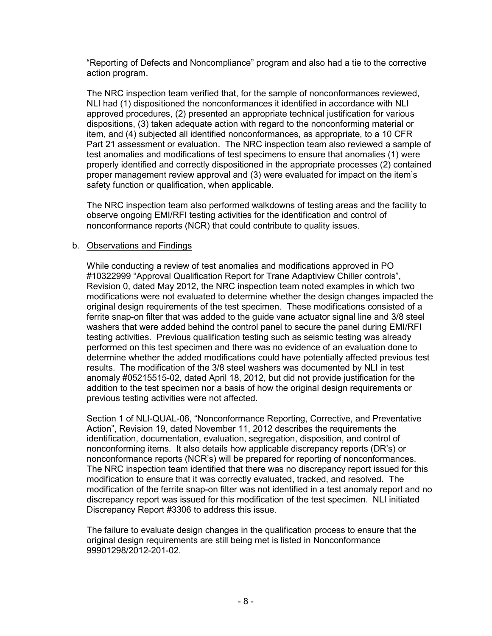"Reporting of Defects and Noncompliance" program and also had a tie to the corrective action program.

The NRC inspection team verified that, for the sample of nonconformances reviewed, NLI had (1) dispositioned the nonconformances it identified in accordance with NLI approved procedures, (2) presented an appropriate technical justification for various dispositions, (3) taken adequate action with regard to the nonconforming material or item, and (4) subjected all identified nonconformances, as appropriate, to a 10 CFR Part 21 assessment or evaluation. The NRC inspection team also reviewed a sample of test anomalies and modifications of test specimens to ensure that anomalies (1) were properly identified and correctly dispositioned in the appropriate processes (2) contained proper management review approval and (3) were evaluated for impact on the item's safety function or qualification, when applicable.

The NRC inspection team also performed walkdowns of testing areas and the facility to observe ongoing EMI/RFI testing activities for the identification and control of nonconformance reports (NCR) that could contribute to quality issues.

## b. Observations and Findings

While conducting a review of test anomalies and modifications approved in PO #10322999 "Approval Qualification Report for Trane Adaptiview Chiller controls", Revision 0, dated May 2012, the NRC inspection team noted examples in which two modifications were not evaluated to determine whether the design changes impacted the original design requirements of the test specimen. These modifications consisted of a ferrite snap-on filter that was added to the guide vane actuator signal line and 3/8 steel washers that were added behind the control panel to secure the panel during EMI/RFI testing activities. Previous qualification testing such as seismic testing was already performed on this test specimen and there was no evidence of an evaluation done to determine whether the added modifications could have potentially affected previous test results. The modification of the 3/8 steel washers was documented by NLI in test anomaly #05215515-02, dated April 18, 2012, but did not provide justification for the addition to the test specimen nor a basis of how the original design requirements or previous testing activities were not affected.

Section 1 of NLI-QUAL-06, "Nonconformance Reporting, Corrective, and Preventative Action", Revision 19, dated November 11, 2012 describes the requirements the identification, documentation, evaluation, segregation, disposition, and control of nonconforming items. It also details how applicable discrepancy reports (DR's) or nonconformance reports (NCR's) will be prepared for reporting of nonconformances. The NRC inspection team identified that there was no discrepancy report issued for this modification to ensure that it was correctly evaluated, tracked, and resolved. The modification of the ferrite snap-on filter was not identified in a test anomaly report and no discrepancy report was issued for this modification of the test specimen. NLI initiated Discrepancy Report #3306 to address this issue.

The failure to evaluate design changes in the qualification process to ensure that the original design requirements are still being met is listed in Nonconformance 99901298/2012-201-02.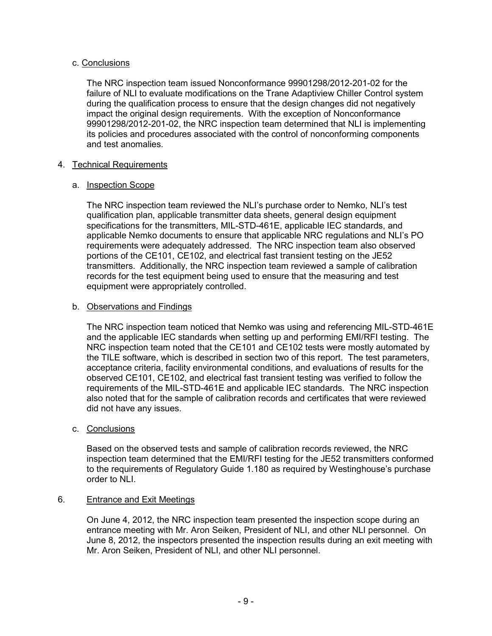## c. Conclusions

The NRC inspection team issued Nonconformance 99901298/2012-201-02 for the failure of NLI to evaluate modifications on the Trane Adaptiview Chiller Control system during the qualification process to ensure that the design changes did not negatively impact the original design requirements. With the exception of Nonconformance 99901298/2012-201-02, the NRC inspection team determined that NLI is implementing its policies and procedures associated with the control of nonconforming components and test anomalies.

## 4. Technical Requirements

## a. Inspection Scope

The NRC inspection team reviewed the NLI's purchase order to Nemko, NLI's test qualification plan, applicable transmitter data sheets, general design equipment specifications for the transmitters, MIL-STD-461E, applicable IEC standards, and applicable Nemko documents to ensure that applicable NRC regulations and NLI's PO requirements were adequately addressed. The NRC inspection team also observed portions of the CE101, CE102, and electrical fast transient testing on the JE52 transmitters. Additionally, the NRC inspection team reviewed a sample of calibration records for the test equipment being used to ensure that the measuring and test equipment were appropriately controlled.

## b. Observations and Findings

The NRC inspection team noticed that Nemko was using and referencing MIL-STD-461E and the applicable IEC standards when setting up and performing EMI/RFI testing. The NRC inspection team noted that the CE101 and CE102 tests were mostly automated by the TILE software, which is described in section two of this report. The test parameters, acceptance criteria, facility environmental conditions, and evaluations of results for the observed CE101, CE102, and electrical fast transient testing was verified to follow the requirements of the MIL-STD-461E and applicable IEC standards. The NRC inspection also noted that for the sample of calibration records and certificates that were reviewed did not have any issues.

## c. Conclusions

Based on the observed tests and sample of calibration records reviewed, the NRC inspection team determined that the EMI/RFI testing for the JE52 transmitters conformed to the requirements of Regulatory Guide 1.180 as required by Westinghouse's purchase order to NLI.

## 6. Entrance and Exit Meetings

On June 4, 2012, the NRC inspection team presented the inspection scope during an entrance meeting with Mr. Aron Seiken, President of NLI, and other NLI personnel. On June 8, 2012, the inspectors presented the inspection results during an exit meeting with Mr. Aron Seiken, President of NLI, and other NLI personnel.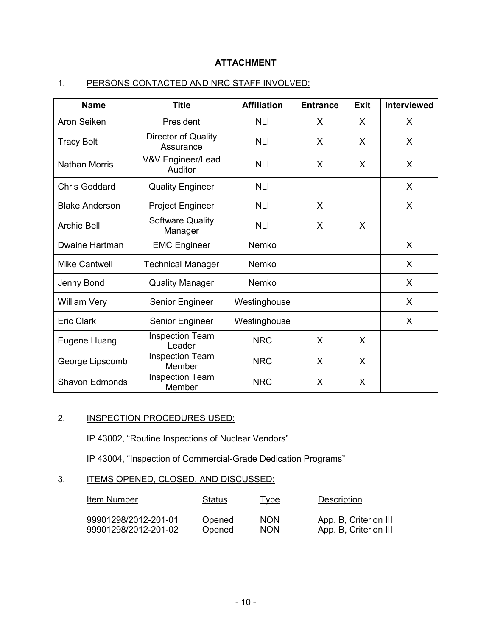# **ATTACHMENT**

# 1. PERSONS CONTACTED AND NRC STAFF INVOLVED:

| <b>Name</b>           | <b>Title</b>                       | <b>Affiliation</b> | <b>Entrance</b> | <b>Exit</b> | <b>Interviewed</b> |
|-----------------------|------------------------------------|--------------------|-----------------|-------------|--------------------|
| Aron Seiken           | President                          | <b>NLI</b>         | X               | X           | X                  |
| <b>Tracy Bolt</b>     | Director of Quality<br>Assurance   | <b>NLI</b>         | X               | X           | X                  |
| <b>Nathan Morris</b>  | V&V Engineer/Lead<br>Auditor       | <b>NLI</b>         | X               | X           | X                  |
| <b>Chris Goddard</b>  | <b>Quality Engineer</b>            | <b>NLI</b>         |                 |             | X                  |
| <b>Blake Anderson</b> | <b>Project Engineer</b>            | <b>NLI</b>         | X               |             | X                  |
| <b>Archie Bell</b>    | <b>Software Quality</b><br>Manager | <b>NLI</b>         | X               | X           |                    |
| <b>Dwaine Hartman</b> | <b>EMC Engineer</b>                | Nemko              |                 |             | X                  |
| <b>Mike Cantwell</b>  | <b>Technical Manager</b>           | Nemko              |                 |             | X                  |
| Jenny Bond            | <b>Quality Manager</b>             | Nemko              |                 |             | X                  |
| <b>William Very</b>   | Senior Engineer                    | Westinghouse       |                 |             | X                  |
| <b>Eric Clark</b>     | Senior Engineer                    | Westinghouse       |                 |             | X                  |
| Eugene Huang          | <b>Inspection Team</b><br>Leader   | <b>NRC</b>         | X               | X           |                    |
| George Lipscomb       | <b>Inspection Team</b><br>Member   | <b>NRC</b>         | X               | X           |                    |
| <b>Shavon Edmonds</b> | <b>Inspection Team</b><br>Member   | <b>NRC</b>         | X               | X           |                    |

# 2. **INSPECTION PROCEDURES USED:**

IP 43002, "Routine Inspections of Nuclear Vendors"

IP 43004, "Inspection of Commercial-Grade Dedication Programs"

# 3. ITEMS OPENED, CLOSED, AND DISCUSSED:

| Item Number          | <b>Status</b> | <b>Type</b> | Description           |
|----------------------|---------------|-------------|-----------------------|
| 99901298/2012-201-01 | Opened        | <b>NON</b>  | App. B, Criterion III |
| 99901298/2012-201-02 | Opened        | <b>NON</b>  | App. B, Criterion III |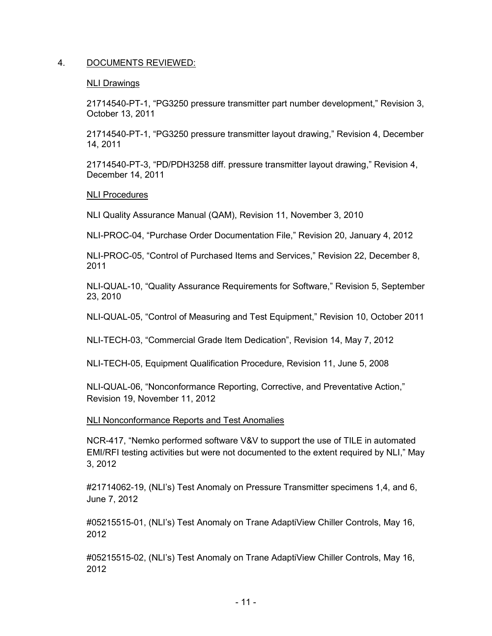## 4. DOCUMENTS REVIEWED:

#### NLI Drawings

21714540-PT-1, "PG3250 pressure transmitter part number development," Revision 3, October 13, 2011

21714540-PT-1, "PG3250 pressure transmitter layout drawing," Revision 4, December 14, 2011

21714540-PT-3, "PD/PDH3258 diff. pressure transmitter layout drawing," Revision 4, December 14, 2011

## NLI Procedures

NLI Quality Assurance Manual (QAM), Revision 11, November 3, 2010

NLI-PROC-04, "Purchase Order Documentation File," Revision 20, January 4, 2012

NLI-PROC-05, "Control of Purchased Items and Services," Revision 22, December 8, 2011

NLI-QUAL-10, "Quality Assurance Requirements for Software," Revision 5, September 23, 2010

NLI-QUAL-05, "Control of Measuring and Test Equipment," Revision 10, October 2011

NLI-TECH-03, "Commercial Grade Item Dedication", Revision 14, May 7, 2012

NLI-TECH-05, Equipment Qualification Procedure, Revision 11, June 5, 2008

NLI-QUAL-06, "Nonconformance Reporting, Corrective, and Preventative Action," Revision 19, November 11, 2012

#### NLI Nonconformance Reports and Test Anomalies

NCR-417, "Nemko performed software V&V to support the use of TILE in automated EMI/RFI testing activities but were not documented to the extent required by NLI," May 3, 2012

#21714062-19, (NLI's) Test Anomaly on Pressure Transmitter specimens 1,4, and 6, June 7, 2012

#05215515-01, (NLI's) Test Anomaly on Trane AdaptiView Chiller Controls, May 16, 2012

#05215515-02, (NLI's) Test Anomaly on Trane AdaptiView Chiller Controls, May 16, 2012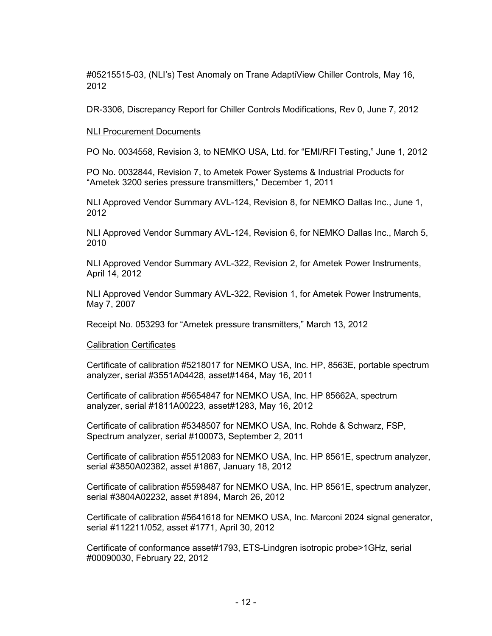#05215515-03, (NLI's) Test Anomaly on Trane AdaptiView Chiller Controls, May 16, 2012

DR-3306, Discrepancy Report for Chiller Controls Modifications, Rev 0, June 7, 2012

#### NLI Procurement Documents

PO No. 0034558, Revision 3, to NEMKO USA, Ltd. for "EMI/RFI Testing," June 1, 2012

PO No. 0032844, Revision 7, to Ametek Power Systems & Industrial Products for "Ametek 3200 series pressure transmitters," December 1, 2011

NLI Approved Vendor Summary AVL-124, Revision 8, for NEMKO Dallas Inc., June 1, 2012

NLI Approved Vendor Summary AVL-124, Revision 6, for NEMKO Dallas Inc., March 5, 2010

NLI Approved Vendor Summary AVL-322, Revision 2, for Ametek Power Instruments, April 14, 2012

NLI Approved Vendor Summary AVL-322, Revision 1, for Ametek Power Instruments, May 7, 2007

Receipt No. 053293 for "Ametek pressure transmitters," March 13, 2012

#### Calibration Certificates

Certificate of calibration #5218017 for NEMKO USA, Inc. HP, 8563E, portable spectrum analyzer, serial #3551A04428, asset#1464, May 16, 2011

Certificate of calibration #5654847 for NEMKO USA, Inc. HP 85662A, spectrum analyzer, serial #1811A00223, asset#1283, May 16, 2012

Certificate of calibration #5348507 for NEMKO USA, Inc. Rohde & Schwarz, FSP, Spectrum analyzer, serial #100073, September 2, 2011

Certificate of calibration #5512083 for NEMKO USA, Inc. HP 8561E, spectrum analyzer, serial #3850A02382, asset #1867, January 18, 2012

Certificate of calibration #5598487 for NEMKO USA, Inc. HP 8561E, spectrum analyzer, serial #3804A02232, asset #1894, March 26, 2012

Certificate of calibration #5641618 for NEMKO USA, Inc. Marconi 2024 signal generator, serial #112211/052, asset #1771, April 30, 2012

Certificate of conformance asset#1793, ETS-Lindgren isotropic probe>1GHz, serial #00090030, February 22, 2012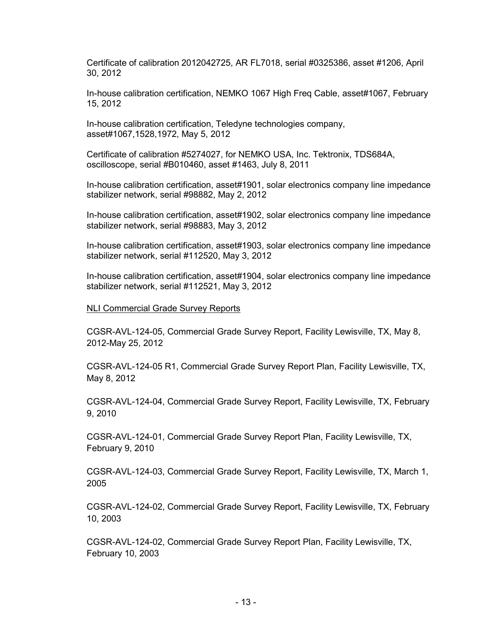Certificate of calibration 2012042725, AR FL7018, serial #0325386, asset #1206, April 30, 2012

In-house calibration certification, NEMKO 1067 High Freq Cable, asset#1067, February 15, 2012

In-house calibration certification, Teledyne technologies company, asset#1067,1528,1972, May 5, 2012

Certificate of calibration #5274027, for NEMKO USA, Inc. Tektronix, TDS684A, oscilloscope, serial #B010460, asset #1463, July 8, 2011

In-house calibration certification, asset#1901, solar electronics company line impedance stabilizer network, serial #98882, May 2, 2012

In-house calibration certification, asset#1902, solar electronics company line impedance stabilizer network, serial #98883, May 3, 2012

In-house calibration certification, asset#1903, solar electronics company line impedance stabilizer network, serial #112520, May 3, 2012

In-house calibration certification, asset#1904, solar electronics company line impedance stabilizer network, serial #112521, May 3, 2012

#### NLI Commercial Grade Survey Reports

CGSR-AVL-124-05, Commercial Grade Survey Report, Facility Lewisville, TX, May 8, 2012-May 25, 2012

CGSR-AVL-124-05 R1, Commercial Grade Survey Report Plan, Facility Lewisville, TX, May 8, 2012

CGSR-AVL-124-04, Commercial Grade Survey Report, Facility Lewisville, TX, February 9, 2010

CGSR-AVL-124-01, Commercial Grade Survey Report Plan, Facility Lewisville, TX, February 9, 2010

CGSR-AVL-124-03, Commercial Grade Survey Report, Facility Lewisville, TX, March 1, 2005

CGSR-AVL-124-02, Commercial Grade Survey Report, Facility Lewisville, TX, February 10, 2003

CGSR-AVL-124-02, Commercial Grade Survey Report Plan, Facility Lewisville, TX, February 10, 2003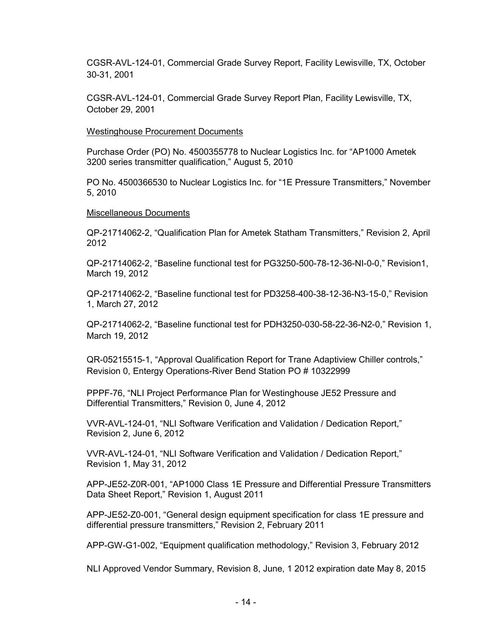CGSR-AVL-124-01, Commercial Grade Survey Report, Facility Lewisville, TX, October 30-31, 2001

CGSR-AVL-124-01, Commercial Grade Survey Report Plan, Facility Lewisville, TX, October 29, 2001

Westinghouse Procurement Documents

Purchase Order (PO) No. 4500355778 to Nuclear Logistics Inc. for "AP1000 Ametek 3200 series transmitter qualification," August 5, 2010

PO No. 4500366530 to Nuclear Logistics Inc. for "1E Pressure Transmitters," November 5, 2010

## Miscellaneous Documents

QP-21714062-2, "Qualification Plan for Ametek Statham Transmitters," Revision 2, April 2012

QP-21714062-2, "Baseline functional test for PG3250-500-78-12-36-NI-0-0," Revision1, March 19, 2012

QP-21714062-2, "Baseline functional test for PD3258-400-38-12-36-N3-15-0," Revision 1, March 27, 2012

QP-21714062-2, "Baseline functional test for PDH3250-030-58-22-36-N2-0," Revision 1, March 19, 2012

QR-05215515-1, "Approval Qualification Report for Trane Adaptiview Chiller controls," Revision 0, Entergy Operations-River Bend Station PO # 10322999

PPPF-76, "NLI Project Performance Plan for Westinghouse JE52 Pressure and Differential Transmitters," Revision 0, June 4, 2012

VVR-AVL-124-01, "NLI Software Verification and Validation / Dedication Report," Revision 2, June 6, 2012

VVR-AVL-124-01, "NLI Software Verification and Validation / Dedication Report," Revision 1, May 31, 2012

APP-JE52-Z0R-001, "AP1000 Class 1E Pressure and Differential Pressure Transmitters Data Sheet Report," Revision 1, August 2011

APP-JE52-Z0-001, "General design equipment specification for class 1E pressure and differential pressure transmitters," Revision 2, February 2011

APP-GW-G1-002, "Equipment qualification methodology," Revision 3, February 2012

NLI Approved Vendor Summary, Revision 8, June, 1 2012 expiration date May 8, 2015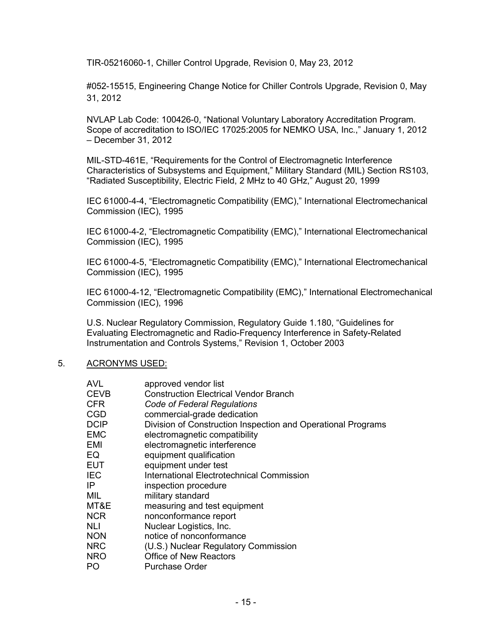TIR-05216060-1, Chiller Control Upgrade, Revision 0, May 23, 2012

#052-15515, Engineering Change Notice for Chiller Controls Upgrade, Revision 0, May 31, 2012

NVLAP Lab Code: 100426-0, "National Voluntary Laboratory Accreditation Program. Scope of accreditation to ISO/IEC 17025:2005 for NEMKO USA, Inc.," January 1, 2012 – December 31, 2012

MIL-STD-461E, "Requirements for the Control of Electromagnetic Interference Characteristics of Subsystems and Equipment," Military Standard (MIL) Section RS103, "Radiated Susceptibility, Electric Field, 2 MHz to 40 GHz," August 20, 1999

IEC 61000-4-4, "Electromagnetic Compatibility (EMC)," International Electromechanical Commission (IEC), 1995

IEC 61000-4-2, "Electromagnetic Compatibility (EMC)," International Electromechanical Commission (IEC), 1995

IEC 61000-4-5, "Electromagnetic Compatibility (EMC)," International Electromechanical Commission (IEC), 1995

IEC 61000-4-12, "Electromagnetic Compatibility (EMC)," International Electromechanical Commission (IEC), 1996

U.S. Nuclear Regulatory Commission, Regulatory Guide 1.180, "Guidelines for Evaluating Electromagnetic and Radio-Frequency Interference in Safety-Related Instrumentation and Controls Systems," Revision 1, October 2003

#### 5. ACRONYMS USED:

| AVL<br><b>CEVB</b><br>CFR | approved vendor list<br><b>Construction Electrical Vendor Branch</b><br>Code of Federal Regulations |
|---------------------------|-----------------------------------------------------------------------------------------------------|
| CGD                       | commercial-grade dedication                                                                         |
| DCIP                      | Division of Construction Inspection and Operational Programs                                        |
| EMC                       | electromagnetic compatibility                                                                       |
| EMI                       | electromagnetic interference                                                                        |
| EQ                        | equipment qualification                                                                             |
| EUT                       | equipment under test                                                                                |
| IEC                       | International Electrotechnical Commission                                                           |
| IP                        | inspection procedure                                                                                |
| MIL                       | military standard                                                                                   |
| MT&E                      | measuring and test equipment                                                                        |
| NCR                       | nonconformance report                                                                               |
| NLI                       | Nuclear Logistics, Inc.                                                                             |
| <b>NON</b>                | notice of nonconformance                                                                            |
| <b>NRC</b>                | (U.S.) Nuclear Regulatory Commission                                                                |
| NRO                       | <b>Office of New Reactors</b>                                                                       |
| PO                        | <b>Purchase Order</b>                                                                               |
|                           |                                                                                                     |